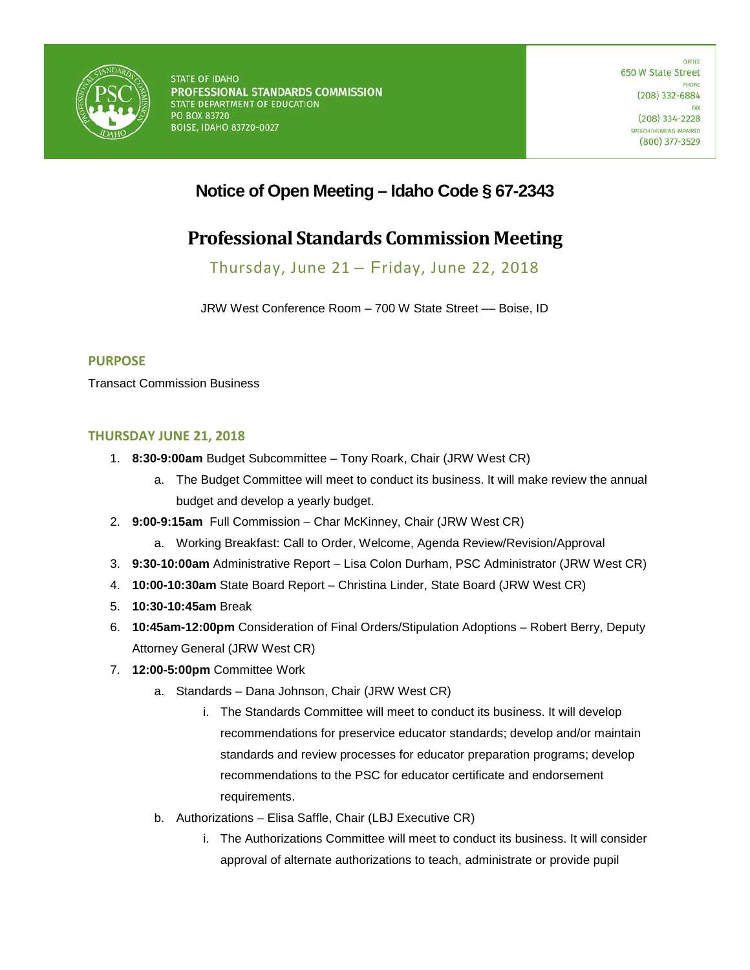

## **Notice of Open Meeting – Idaho Code § 67-2343**

# **Professional Standards Commission Meeting**

Thursday, June 21 – Friday, June 22, 2018

JRW West Conference Room – 700 W State Street –– Boise, ID

### **PURPOSE**

Transact Commission Business

### **THURSDAY JUNE 21, 2018**

- 1. **8:30-9:00am** Budget Subcommittee Tony Roark, Chair (JRW West CR)
	- a. The Budget Committee will meet to conduct its business. It will make review the annual budget and develop a yearly budget.
- 2. **9:00-9:15am** Full Commission Char McKinney, Chair (JRW West CR)
	- a. Working Breakfast: Call to Order, Welcome, Agenda Review/Revision/Approval
- 3. **9:30-10:00am** Administrative Report Lisa Colon Durham, PSC Administrator (JRW West CR)
- 4. **10:00-10:30am** State Board Report Christina Linder, State Board (JRW West CR)
- 5. **10:30-10:45am** Break
- 6. **10:45am-12:00pm** Consideration of Final Orders/Stipulation Adoptions Robert Berry, Deputy Attorney General (JRW West CR)
- 7. **12:00-5:00pm** Committee Work
	- a. Standards Dana Johnson, Chair (JRW West CR)
		- i. The Standards Committee will meet to conduct its business. It will develop recommendations for preservice educator standards; develop and/or maintain standards and review processes for educator preparation programs; develop recommendations to the PSC for educator certificate and endorsement requirements.
	- b. Authorizations Elisa Saffle, Chair (LBJ Executive CR)
		- i. The Authorizations Committee will meet to conduct its business. It will consider approval of alternate authorizations to teach, administrate or provide pupil